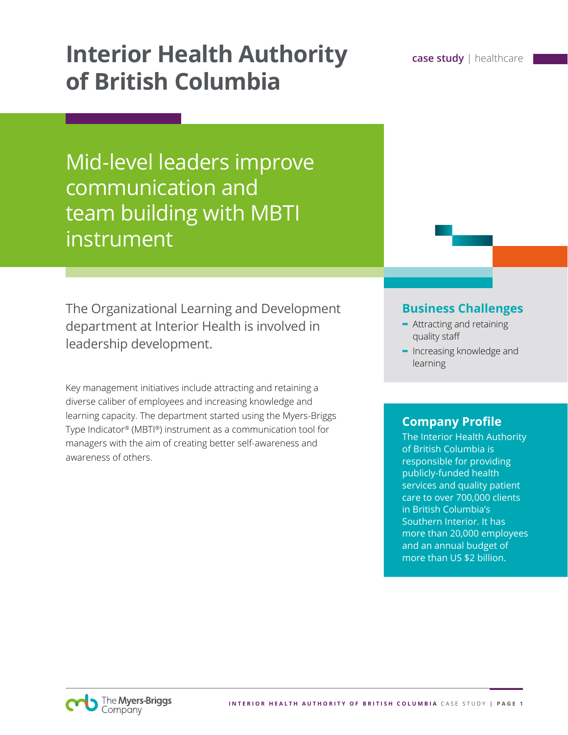# **Interior Health Authority case study** | healthcare **of British Columbia**

Mid-level leaders improve communication and team building with MBTI instrument

The Organizational Learning and Development department at Interior Health is involved in leadership development.

Key management initiatives include attracting and retaining a diverse caliber of employees and increasing knowledge and learning capacity. The department started using the Myers-Briggs Type Indicator® (MBTI®) instrument as a communication tool for managers with the aim of creating better self-awareness and awareness of others.

#### **Business Challenges**

- **-** Attracting and retaining quality staff
- **-** Increasing knowledge and learning

## **Company Profile**

The Interior Health Authority of British Columbia is responsible for providing publicly-funded health services and quality patient care to over 700,000 clients in British Columbia's Southern Interior. It has more than 20,000 employees and an annual budget of more than US \$2 billion.

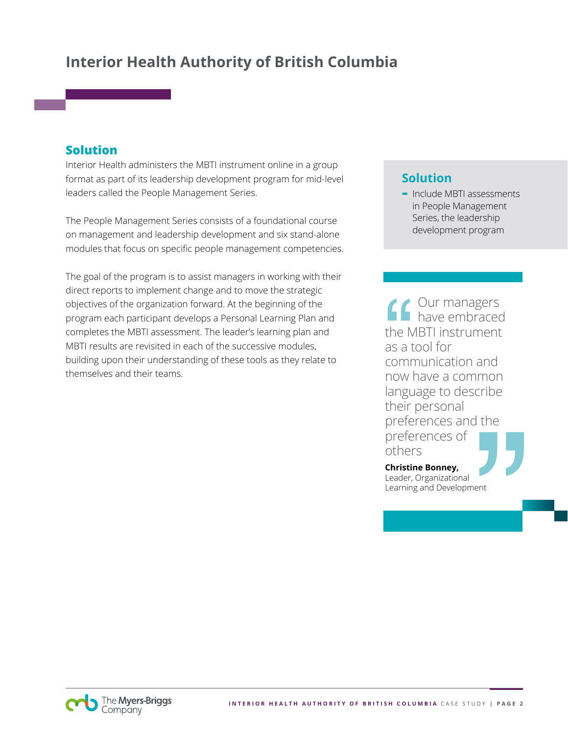# **Interior Health Authority of British Columbia**

### **Solution**

Interior Health administers the MBTI instrument online in a group format as part of its leadership development program for mid-level leaders called the People Management Series.

The People Management Series consists of a foundational course on management and leadership development and six stand-alone modules that focus on specific people management competencies.

The goal of the program is to assist managers in working with their direct reports to implement change and to move the strategic objectives of the organization forward. At the beginning of the program each participant develops a Personal Learning Plan and completes the MBTI assessment. The leader's learning plan and MBTI results are revisited in each of the successive modules, building upon their understanding of these tools as they relate to themselves and their teams.

# **Solution**

**-** Include MBTI assessments in People Management Series, the leadership development program

Our managers have embraced the MBTI instrument as a tool for communication and now have a common language to describe their personal preferences and the preferences of others

**Christine Bonney,**  Leader, Organizational Learning and Development

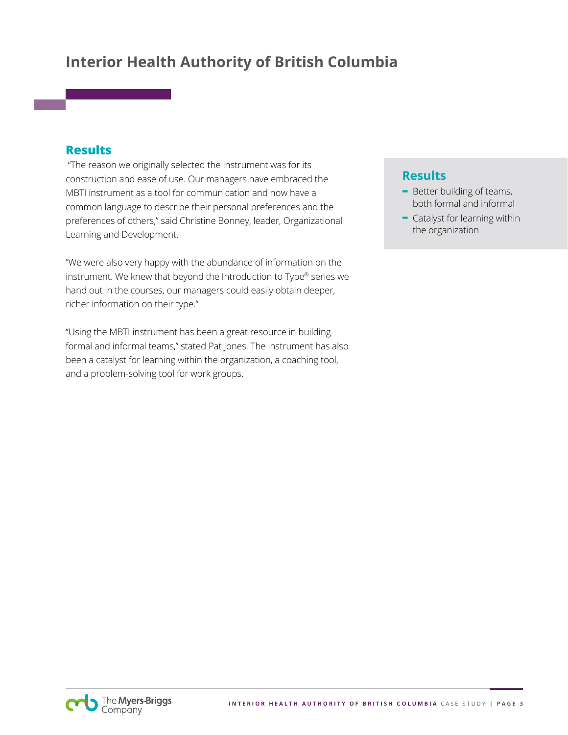# **Interior Health Authority of British Columbia**

#### **Results**

 "The reason we originally selected the instrument was for its construction and ease of use. Our managers have embraced the MBTI instrument as a tool for communication and now have a common language to describe their personal preferences and the preferences of others," said Christine Bonney, leader, Organizational Learning and Development.

"We were also very happy with the abundance of information on the instrument. We knew that beyond the Introduction to Type® series we hand out in the courses, our managers could easily obtain deeper, richer information on their type."

"Using the MBTI instrument has been a great resource in building formal and informal teams," stated Pat Jones. The instrument has also been a catalyst for learning within the organization, a coaching tool, and a problem-solving tool for work groups.

## **Results**

- **-** Better building of teams, both formal and informal
- **-** Catalyst for learning within the organization